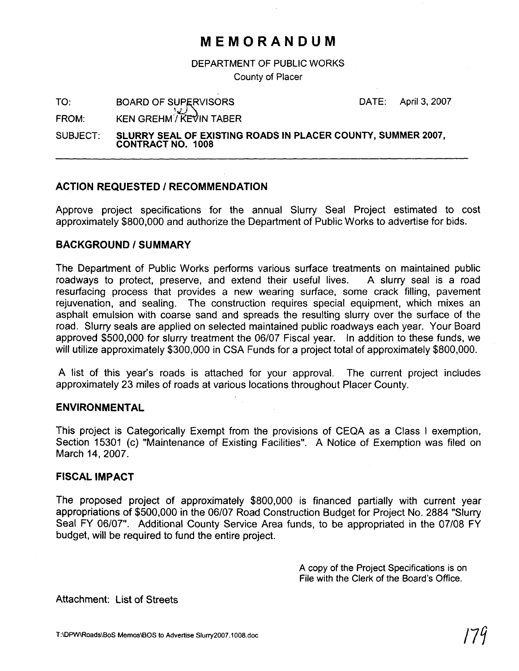## **MEMORANDUM**

**DEPARTMENT OF PUBLIC WORKS** 

**County of Placer** 

TO: BOARD OF SUPERVISORS DATE: April 3, 2007<br>FROM: KEN OPELIMATION TARED

**FROM: KEN GREHM'/ KEVIN TABER** 

SUBJECT: SLURRY SEAL OF EXISTING ROADS IN PLACER COUNTY, SUMMER 2007, **CONTRACT NO. 1008** 

#### **ACTION REQUESTED** I **RECOMMENDATION**

Approve project specifications for the annual Slurry Seal Project estimated to cost approximately \$800,000 and authorize the Department of Public Works to advertise for bids.

#### **BACKGROUND** I **SUMMARY**

The Department of Public Works performs various surface treatments on maintained public roadways to protect, preserve, and extend their useful lives. A slurry seal is a road resurfacing process that provides a new wearing surface, some crack filling, pavement rejuvenation, and sealing. The construction requires special equipment, which mixes an asphalt emulsion with coarse sand and spreads the resulting slurry over the surface of the road. Slurry seals are applied on selected maintained public roadways each year. Your Board approved \$500,000 for slurry treatment the 06/07 Fiscal year. In addition to these funds, we will utilize approximately \$300,000 in CSA Funds for a project total of approximately \$800,000.

A list of this year's roads is attached for your approval. The current project includes approximately 23 miles of roads at various locations throughout Placer County.

#### **ENVIRONMENTAL**

This project is Categorically Exempt from the provisions of CEQA as a Class I exemption, Section 15301 (c) "Maintenance of Existing Facilities". A Notice of Exemption was filed on March 14, 2007.

#### **FISCAL IMPACT**

The proposed project of approximately \$800,000 is financed partially with current year appropriations of \$500,000 in the 06/07 Road Construction Budget for Project No. 2884 "Slurry Seal FY 06/07". Additional County Service Area funds, to be appropriated in the 07/08 FY budget, will be required to fund the entire project.

> **A copy of the Project Specifications is on File with the Clerk of the Board's Ofice.**

Attachment: List of Streets